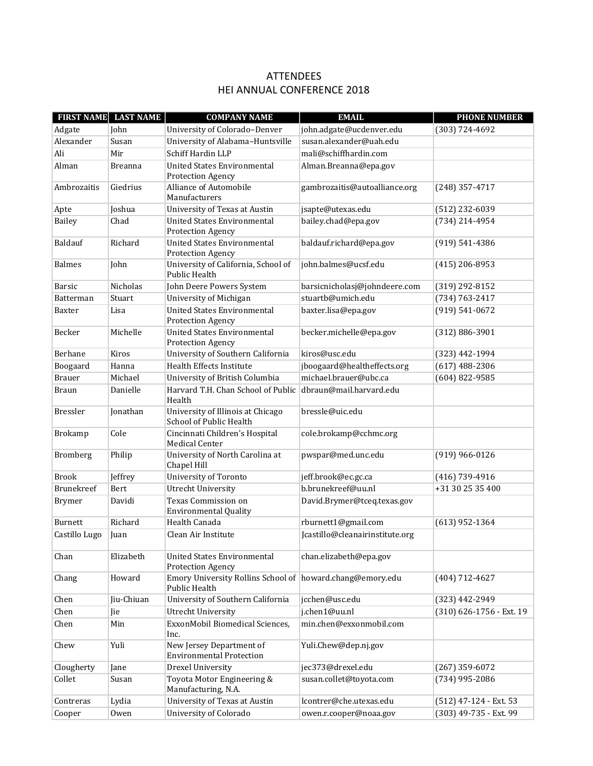## ATTENDEES HEI ANNUAL CONFERENCE 2018

| <b>FIRST NAME</b> | <b>LAST NAME</b> | <b>COMPANY NAME</b>                                                        | <b>EMAIL</b>                    | <b>PHONE NUMBER</b>      |
|-------------------|------------------|----------------------------------------------------------------------------|---------------------------------|--------------------------|
| Adgate            | John             | University of Colorado-Denver                                              | john.adgate@ucdenver.edu        | $(303) 724 - 4692$       |
| Alexander         | Susan            | University of Alabama-Huntsville                                           | susan.alexander@uah.edu         |                          |
| Ali               | Mir              | Schiff Hardin LLP                                                          | mali@schiffhardin.com           |                          |
| Alman             | <b>Breanna</b>   | <b>United States Environmental</b><br>Protection Agency                    | Alman.Breanna@epa.gov           |                          |
| Ambrozaitis       | Giedrius         | Alliance of Automobile<br>Manufacturers                                    | gambrozaitis@autoalliance.org   | $(248)$ 357-4717         |
| Apte              | Joshua           | University of Texas at Austin                                              | jsapte@utexas.edu               | (512) 232-6039           |
| <b>Bailey</b>     | Chad             | <b>United States Environmental</b><br>Protection Agency                    | bailey.chad@epa.gov             | (734) 214-4954           |
| Baldauf           | Richard          | <b>United States Environmental</b><br>Protection Agency                    | baldauf.richard@epa.gov         | $(919) 541 - 4386$       |
| <b>Balmes</b>     | John             | University of California, School of<br>Public Health                       | iohn.balmes@ucsf.edu            | $(415)$ 206-8953         |
| Barsic            | <b>Nicholas</b>  | John Deere Powers System                                                   | barsicnicholasj@johndeere.com   | $(319)$ 292-8152         |
| Batterman         | Stuart           | University of Michigan                                                     | stuartb@umich.edu               | (734) 763-2417           |
| Baxter            | Lisa             | <b>United States Environmental</b>                                         | baxter.lisa@epa.gov             | $(919) 541 - 0672$       |
|                   |                  | <b>Protection Agency</b>                                                   |                                 |                          |
| Becker            | Michelle         | <b>United States Environmental</b><br>Protection Agency                    | becker.michelle@epa.gov         | $(312) 886 - 3901$       |
| Berhane           | Kiros            | University of Southern California                                          | kiros@usc.edu                   | (323) 442-1994           |
| Boogaard          | Hanna            | Health Effects Institute                                                   | jboogaard@healtheffects.org     | $(617)$ 488-2306         |
| <b>Brauer</b>     | Michael          | University of British Columbia                                             | michael.brauer@ubc.ca           | $(604)$ 822-9585         |
| <b>Braun</b>      | Danielle         | Harvard T.H. Chan School of Public<br>Health                               | dbraun@mail.harvard.edu         |                          |
| Bressler          | Jonathan         | University of Illinois at Chicago<br><b>School of Public Health</b>        | bressle@uic.edu                 |                          |
| Brokamp           | Cole             | Cincinnati Children's Hospital<br><b>Medical Center</b>                    | cole.brokamp@cchmc.org          |                          |
| Bromberg          | Philip           | University of North Carolina at<br>Chapel Hill                             | pwspar@med.unc.edu              | (919) 966-0126           |
| <b>Brook</b>      | Jeffrey          | University of Toronto                                                      | jeff.brook@ec.gc.ca             | $(416)$ 739-4916         |
| Brunekreef        | Bert             | <b>Utrecht University</b>                                                  | b.brunekreef@uu.nl              | +31 30 25 35 400         |
| <b>Brymer</b>     | Davidi           | Texas Commission on<br><b>Environmental Quality</b>                        | David.Brymer@tceq.texas.gov     |                          |
| <b>Burnett</b>    | Richard          | Health Canada                                                              | rburnett1@gmail.com             | $(613)$ 952-1364         |
| Castillo Lugo     | Juan             | Clean Air Institute                                                        | Jcastillo@cleanairinstitute.org |                          |
| Chan              | Elizabeth        | United States Environmental<br>Protection Agency                           | chan.elizabeth@epa.gov          |                          |
| Chang             | Howard           | Emory University Rollins School of howard.chang@emory.edu<br>Public Health |                                 | $(404)$ 712-4627         |
| Chen              | Jiu-Chiuan       | University of Southern California                                          | jcchen@usc.edu                  | (323) 442-2949           |
| Chen              | Jie              | <b>Utrecht University</b>                                                  | j.chen1@uu.nl                   | (310) 626-1756 - Ext. 19 |
| Chen              | Min              | ExxonMobil Biomedical Sciences,<br>Inc.                                    | min.chen@exxonmobil.com         |                          |
| Chew              | Yuli             | New Jersey Department of<br><b>Environmental Protection</b>                | Yuli.Chew@dep.nj.gov            |                          |
| Clougherty        | Jane             | Drexel University                                                          | jec373@drexel.edu               | $(267)$ 359-6072         |
| Collet            | Susan            | Toyota Motor Engineering &<br>Manufacturing, N.A.                          | susan.collet@toyota.com         | (734) 995-2086           |
| Contreras         | Lydia            | University of Texas at Austin                                              | lcontrer@che.utexas.edu         | $(512)$ 47-124 - Ext. 53 |
| Cooper            | Owen             | University of Colorado                                                     | owen.r.cooper@noaa.gov          | (303) 49-735 - Ext. 99   |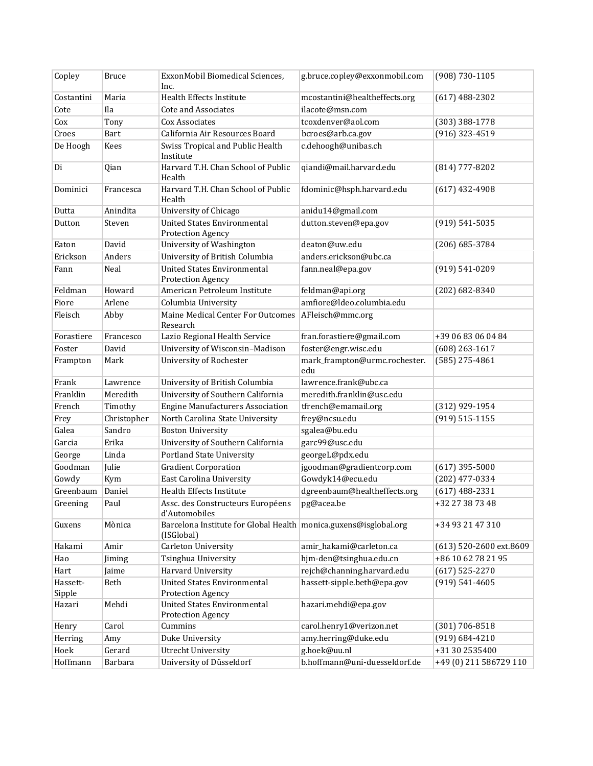| Copley             | <b>Bruce</b> | ExxonMobil Biomedical Sciences,<br>Inc.                                        | g.bruce.copley@exxonmobil.com        | (908) 730-1105          |
|--------------------|--------------|--------------------------------------------------------------------------------|--------------------------------------|-------------------------|
| Costantini         | Maria        | Health Effects Institute                                                       | mcostantini@healtheffects.org        | $(617)$ 488-2302        |
| Cote               | Ila          | <b>Cote and Associates</b>                                                     | ilacote@msn.com                      |                         |
| Cox                | Tony         | Cox Associates                                                                 | tcoxdenver@aol.com                   | (303) 388-1778          |
| Croes              | Bart         | California Air Resources Board                                                 | bcroes@arb.ca.gov                    | (916) 323-4519          |
| De Hoogh           | Kees         | Swiss Tropical and Public Health<br>Institute                                  | c.dehoogh@unibas.ch                  |                         |
| Di                 | Qian         | Harvard T.H. Chan School of Public<br>Health                                   | qiandi@mail.harvard.edu              | (814) 777-8202          |
| Dominici           | Francesca    | Harvard T.H. Chan School of Public<br>Health                                   | fdominic@hsph.harvard.edu            | $(617)$ 432-4908        |
| Dutta              | Anindita     | University of Chicago                                                          | anidu14@gmail.com                    |                         |
| Dutton             | Steven       | <b>United States Environmental</b><br>Protection Agency                        | dutton.steven@epa.gov                | $(919) 541 - 5035$      |
| Eaton              | David        | University of Washington                                                       | deaton@uw.edu                        | $(206)$ 685-3784        |
| Erickson           | Anders       | University of British Columbia                                                 | anders.erickson@ubc.ca               |                         |
| Fann               | Neal         | <b>United States Environmental</b><br><b>Protection Agency</b>                 | fann.neal@epa.gov                    | $(919) 541 - 0209$      |
| Feldman            | Howard       | American Petroleum Institute                                                   | feldman@api.org                      | $(202)$ 682-8340        |
| Fiore              | Arlene       | Columbia University                                                            | amfiore@ldeo.columbia.edu            |                         |
| Fleisch            | Abby         | Maine Medical Center For Outcomes<br>Research                                  | AFleisch@mmc.org                     |                         |
| Forastiere         | Francesco    | Lazio Regional Health Service                                                  | fran.forastiere@gmail.com            | +39 06 83 06 04 84      |
| Foster             | David        | University of Wisconsin-Madison                                                | foster@engr.wisc.edu                 | $(608)$ 263-1617        |
| Frampton           | Mark         | University of Rochester                                                        | mark_frampton@urmc.rochester.<br>edu | $(585)$ 275-4861        |
| Frank              | Lawrence     | University of British Columbia                                                 | lawrence.frank@ubc.ca                |                         |
| Franklin           | Meredith     | University of Southern California                                              | meredith.franklin@usc.edu            |                         |
| French             | Timothy      | <b>Engine Manufacturers Association</b>                                        | tfrench@emamail.org                  | (312) 929-1954          |
| Frey               | Christopher  | North Carolina State University                                                | frey@ncsu.edu                        | $(919) 515 - 1155$      |
| Galea              | Sandro       | <b>Boston University</b>                                                       | sgalea@bu.edu                        |                         |
| Garcia             | Erika        | University of Southern California                                              | garc99@usc.edu                       |                         |
| George             | Linda        | Portland State University                                                      | georgeL@pdx.edu                      |                         |
| Goodman            | Julie        | <b>Gradient Corporation</b>                                                    | jgoodman@gradientcorp.com            | $(617)$ 395-5000        |
| Gowdy              | Kym          | <b>East Carolina University</b>                                                | Gowdyk14@ecu.edu                     | (202) 477-0334          |
| Greenbaum          | Daniel       | Health Effects Institute                                                       | dgreenbaum@healtheffects.org         | $(617)$ 488-2331        |
| Greening           | Paul         | Assc. des Constructeurs Européens pg@acea.be<br>d'Automobiles                  |                                      | +32 27 38 73 48         |
| Guxens             | Mònica       | Barcelona Institute for Global Health monica.guxens@isglobal.org<br>(ISGlobal) |                                      | +34 93 21 47 310        |
| Hakami             | Amir         | Carleton University                                                            | amir_hakami@carleton.ca              | (613) 520-2600 ext.8609 |
| Hao                | Jiming       | Tsinghua University                                                            | hjm-den@tsinghua.edu.cn              | +86 10 62 78 21 95      |
| Hart               | Jaime        | Harvard University                                                             | rejch@channing.harvard.edu           | $(617)$ 525-2270        |
| Hassett-<br>Sipple | Beth         | <b>United States Environmental</b><br><b>Protection Agency</b>                 | hassett-sipple.beth@epa.gov          | $(919) 541 - 4605$      |
| Hazari             | Mehdi        | <b>United States Environmental</b><br>Protection Agency                        | hazari.mehdi@epa.gov                 |                         |
| Henry              | Carol        | Cummins                                                                        | carol.henry1@verizon.net             | $(301) 706 - 8518$      |
| Herring            | Amy          | Duke University                                                                | amy.herring@duke.edu                 | $(919) 684 - 4210$      |
| Hoek               | Gerard       | <b>Utrecht University</b>                                                      | g.hoek@uu.nl                         | +31 30 2535400          |
| Hoffmann           | Barbara      | University of Düsseldorf                                                       | b.hoffmann@uni-duesseldorf.de        | +49 (0) 211 586729 110  |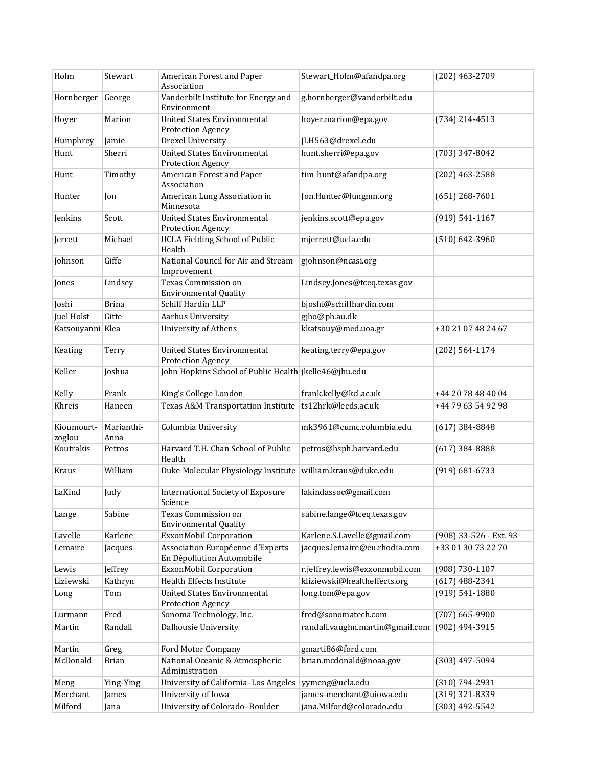| Holm                 | Stewart            | American Forest and Paper<br>Association                       | Stewart_Holm@afandpa.org        | (202) 463-2709         |
|----------------------|--------------------|----------------------------------------------------------------|---------------------------------|------------------------|
| Hornberger George    |                    | Vanderbilt Institute for Energy and<br>Environment             | g.hornberger@vanderbilt.edu     |                        |
| Hoyer                | Marion             | <b>United States Environmental</b><br>Protection Agency        | hoyer.marion@epa.gov            | $(734)$ 214-4513       |
| Humphrey             | Jamie              | Drexel University                                              | JLH563@drexel.edu               |                        |
| Hunt                 | Sherri             | <b>United States Environmental</b>                             | hunt.sherri@epa.gov             | (703) 347-8042         |
|                      |                    | Protection Agency                                              |                                 |                        |
| Hunt                 | Timothy            | American Forest and Paper<br>Association                       | tim_hunt@afandpa.org            | $(202)$ 463-2588       |
| Hunter               | Jon                | American Lung Association in<br>Minnesota                      | Jon.Hunter@lungmn.org           | $(651)$ 268-7601       |
| Jenkins              | Scott              | <b>United States Environmental</b><br>Protection Agency        | jenkins.scott@epa.gov           | $(919) 541 - 1167$     |
| Jerrett              | Michael            | <b>UCLA Fielding School of Public</b><br>Health                | mjerrett@ucla.edu               | $(510) 642 - 3960$     |
| Johnson              | Giffe              | National Council for Air and Stream<br>Improvement             | gjohnson@ncasi.org              |                        |
| Jones                | Lindsey            | Texas Commission on<br><b>Environmental Quality</b>            | Lindsey.Jones@tceq.texas.gov    |                        |
| Joshi                | <b>Brina</b>       | Schiff Hardin LLP                                              | bjoshi@schiffhardin.com         |                        |
| Juel Holst           | Gitte              | Aarhus University                                              | gjho@ph.au.dk                   |                        |
| Katsouyanni Klea     |                    | University of Athens                                           | kkatsouy@med.uoa.gr             | +30 21 07 48 24 67     |
| Keating              | Terry              | <b>United States Environmental</b><br><b>Protection Agency</b> | keating.terry@epa.gov           | $(202)$ 564-1174       |
| Keller               | Joshua             | John Hopkins School of Public Health jkelle46@jhu.edu          |                                 |                        |
| Kelly                | Frank              | King's College London                                          | frank.kelly@kcl.ac.uk           | +44 20 78 48 40 04     |
| Khreis               | Haneen             | Texas A&M Transportation Institute                             | ts12hrk@leeds.ac.uk             | +44 79 63 54 92 98     |
| Kioumourt-<br>zoglou | Marianthi-<br>Anna | Columbia University                                            | mk3961@cumc.columbia.edu        | $(617)$ 384-8848       |
| Koutrakis            | Petros             | Harvard T.H. Chan School of Public<br>Health                   | petros@hsph.harvard.edu         | $(617)$ 384-8888       |
| Kraus                | William            | Duke Molecular Physiology Institute                            | william.kraus@duke.edu          | $(919) 681 - 6733$     |
| LaKind               | Judy               | <b>International Society of Exposure</b><br>Science            | lakindassoc@gmail.com           |                        |
| Lange                | Sabine             | Texas Commission on<br><b>Environmental Quality</b>            | sabine.lange@tceq.texas.gov     |                        |
| Lavelle              | Karlene            | ExxonMobil Corporation                                         | Karlene.S.Lavelle@gmail.com     | (908) 33-526 - Ext. 93 |
| Lemaire              | Jacques            | Association Européenne d'Experts<br>En Dépollution Automobile  | jacques.lemaire@eu.rhodia.com   | +33 01 30 73 22 70     |
| Lewis                | Jeffrey            | ExxonMobil Corporation                                         | r.jeffrey.lewis@exxonmobil.com  | $(908) 730 - 1107$     |
| Liziewski            | Kathryn            | Health Effects Institute                                       | kliziewski@healtheffects.org    | $(617)$ 488-2341       |
| Long                 | Tom                | United States Environmental<br>Protection Agency               | long.tom@epa.gov                | $(919) 541 - 1880$     |
| Lurmann              | Fred               | Sonoma Technology, Inc.                                        | fred@sonomatech.com             | $(707)$ 665-9900       |
| Martin               | Randall            | Dalhousie University                                           | randall.vaughn.martin@gmail.com | (902) 494-3915         |
| Martin               | Greg               | Ford Motor Company                                             | gmarti86@ford.com               |                        |
| McDonald             | <b>Brian</b>       | National Oceanic & Atmospheric<br>Administration               | brian.mcdonald@noaa.gov         | (303) 497-5094         |
| Meng                 | Ying-Ying          | University of California-Los Angeles                           | yymeng@ucla.edu                 | (310) 794-2931         |
| Merchant             | James              | University of Iowa                                             | james-merchant@uiowa.edu        | (319) 321-8339         |
| Milford              | Jana               | University of Colorado-Boulder                                 | jana.Milford@colorado.edu       | $(303)$ 492-5542       |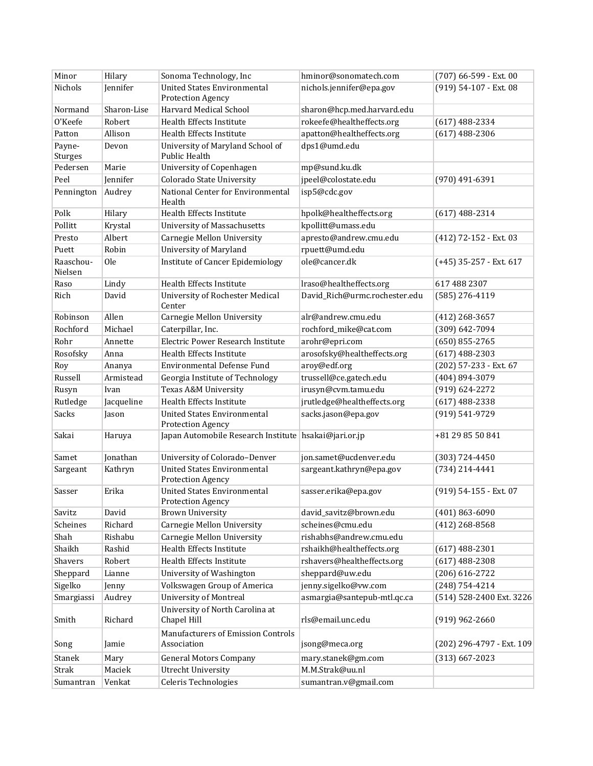| <b>United States Environmental</b><br>Nichols<br>Jennifer<br>nichols.jennifer@epa.gov<br>(919) 54-107 - Ext. 08<br><b>Protection Agency</b><br>Harvard Medical School<br>sharon@hcp.med.harvard.edu<br>Normand<br>Sharon-Lise<br>O'Keefe<br>Robert<br>Health Effects Institute<br>rokeefe@healtheffects.org<br>$(617)$ 488-2334<br>Allison<br>Health Effects Institute<br>apatton@healtheffects.org<br>$(617)$ 488-2306<br>Patton<br>dps1@umd.edu<br>University of Maryland School of<br>Payne-<br>Devon<br><b>Public Health</b><br>Sturges<br>Pedersen<br><b>University of Copenhagen</b><br>Marie<br>mp@sund.ku.dk<br><b>Colorado State University</b><br>jpeel@colostate.edu<br>Peel<br>Jennifer<br>$(970)$ 491-6391<br>isp5@cdc.gov<br>National Center for Environmental<br>Pennington<br>Audrey<br>Health<br>Polk<br>Hilary<br>Health Effects Institute<br>hpolk@healtheffects.org<br>$(617)$ 488-2314<br>Pollitt<br><b>University of Massachusetts</b><br>kpollitt@umass.edu<br>Krystal<br>apresto@andrew.cmu.edu<br>Albert<br>Carnegie Mellon University<br>Presto<br>(412) 72-152 - Ext. 03<br><b>University of Maryland</b><br>rpuett@umd.edu<br>Robin<br>Puett<br><b>Institute of Cancer Epidemiology</b><br>ole@cancer.dk<br>Raaschou-<br><b>Ole</b><br>(+45) 35-257 - Ext. 617<br>Nielsen<br>Health Effects Institute<br>Lindy<br>lraso@healtheffects.org<br>617 488 2307<br>Raso<br>David_Rich@urmc.rochester.edu<br>Rich<br>David<br><b>University of Rochester Medical</b><br>$(585)$ 276-4119<br>Center<br>Robinson<br>Allen<br>Carnegie Mellon University<br>alr@andrew.cmu.edu<br>$(412)$ 268-3657<br>Rochford<br>Michael<br>Caterpillar, Inc.<br>rochford_mike@cat.com<br>(309) 642-7094<br>Rohr<br>Electric Power Research Institute<br>$(650)$ 855-2765<br>Annette<br>arohr@epri.com<br>arosofsky@healtheffects.org<br>Rosofsky<br>Health Effects Institute<br>$(617)$ 488-2303<br>Anna<br>Environmental Defense Fund<br>aroy@edf.org<br>(202) 57-233 - Ext. 67<br>Roy<br>Ananya<br>trussell@ce.gatech.edu<br>Russell<br>Georgia Institute of Technology<br>$(404)$ 894-3079<br>Armistead<br>irusyn@cvm.tamu.edu<br>Texas A&M University<br>(919) 624-2272<br>Rusyn<br>Ivan<br>jrutledge@healtheffects.org<br>Rutledge<br><b>Health Effects Institute</b><br>Jacqueline<br>$(617)$ 488-2338<br>Sacks<br><b>United States Environmental</b><br>sacks.jason@epa.gov<br>(919) 541-9729<br>Jason<br><b>Protection Agency</b><br>Sakai<br>Japan Automobile Research Institute hsakai@jari.or.jp<br>Haruya<br>+81 29 85 50 841<br>Jonathan<br>University of Colorado-Denver<br>jon.samet@ucdenver.edu<br>Samet<br>$(303) 724 - 4450$<br><b>United States Environmental</b><br>Kathryn<br>sargeant.kathryn@epa.gov<br>(734) 214-4441<br>Sargeant<br><b>Protection Agency</b><br><b>United States Environmental</b><br>Erika<br>sasser.erika@epa.gov<br>(919) 54-155 - Ext. 07<br>Sasser<br>Protection Agency<br>David<br>Savitz<br><b>Brown University</b><br>david_savitz@brown.edu<br>$(401) 863 - 6090$<br>scheines@cmu.edu<br>Scheines<br>Richard<br>Carnegie Mellon University<br>$(412)$ 268-8568<br>Shah<br>Rishabu<br>Carnegie Mellon University<br>rishabhs@andrew.cmu.edu<br>Shaikh<br>Rashid<br>Health Effects Institute<br>rshaikh@healtheffects.org<br>$(617)$ 488-2301<br>rshavers@healtheffects.org<br>Shavers<br>Robert<br>Health Effects Institute<br>$(617)$ 488-2308<br>University of Washington<br>sheppard@uw.edu<br>$(206)$ 616-2722<br>Sheppard<br>Lianne<br>Sigelko<br>Volkswagen Group of America<br>jenny.sigelko@vw.com<br>$(248) 754 - 4214$<br>Jenny<br><b>University of Montreal</b><br>asmargia@santepub-mtl.qc.ca<br>(514) 528-2400 Ext. 3226<br>Audrey<br>Smargiassi<br>University of North Carolina at<br>rls@email.unc.edu<br>Smith<br>Richard<br>Chapel Hill<br>$(919)$ 962-2660<br>Manufacturers of Emission Controls<br>Association<br>jsong@meca.org<br>(202) 296-4797 - Ext. 109<br>Song<br>Jamie<br><b>General Motors Company</b><br>Stanek<br>mary.stanek@gm.com<br>$(313)$ 667-2023<br>Mary<br>M.M.Strak@uu.nl<br>Strak<br>Maciek<br><b>Utrecht University</b><br>Celeris Technologies<br>sumantran.v@gmail.com<br>Venkat<br>Sumantran | Minor | Hilary | Sonoma Technology, Inc | hminor@sonomatech.com | (707) 66-599 - Ext. 00 |
|-------------------------------------------------------------------------------------------------------------------------------------------------------------------------------------------------------------------------------------------------------------------------------------------------------------------------------------------------------------------------------------------------------------------------------------------------------------------------------------------------------------------------------------------------------------------------------------------------------------------------------------------------------------------------------------------------------------------------------------------------------------------------------------------------------------------------------------------------------------------------------------------------------------------------------------------------------------------------------------------------------------------------------------------------------------------------------------------------------------------------------------------------------------------------------------------------------------------------------------------------------------------------------------------------------------------------------------------------------------------------------------------------------------------------------------------------------------------------------------------------------------------------------------------------------------------------------------------------------------------------------------------------------------------------------------------------------------------------------------------------------------------------------------------------------------------------------------------------------------------------------------------------------------------------------------------------------------------------------------------------------------------------------------------------------------------------------------------------------------------------------------------------------------------------------------------------------------------------------------------------------------------------------------------------------------------------------------------------------------------------------------------------------------------------------------------------------------------------------------------------------------------------------------------------------------------------------------------------------------------------------------------------------------------------------------------------------------------------------------------------------------------------------------------------------------------------------------------------------------------------------------------------------------------------------------------------------------------------------------------------------------------------------------------------------------------------------------------------------------------------------------------------------------------------------------------------------------------------------------------------------------------------------------------------------------------------------------------------------------------------------------------------------------------------------------------------------------------------------------------------------------------------------------------------------------------------------------------------------------------------------------------------------------------------------------------------------------------------------------------------------------------------------------------------------------------------------------------------------------------------------------------------------------------------------------------------------------------------------------------------------------------------------------------------------------------------------------------------------------------------------------------------------------------------------------------------|-------|--------|------------------------|-----------------------|------------------------|
|                                                                                                                                                                                                                                                                                                                                                                                                                                                                                                                                                                                                                                                                                                                                                                                                                                                                                                                                                                                                                                                                                                                                                                                                                                                                                                                                                                                                                                                                                                                                                                                                                                                                                                                                                                                                                                                                                                                                                                                                                                                                                                                                                                                                                                                                                                                                                                                                                                                                                                                                                                                                                                                                                                                                                                                                                                                                                                                                                                                                                                                                                                                                                                                                                                                                                                                                                                                                                                                                                                                                                                                                                                                                                                                                                                                                                                                                                                                                                                                                                                                                                                                                                                                                 |       |        |                        |                       |                        |
|                                                                                                                                                                                                                                                                                                                                                                                                                                                                                                                                                                                                                                                                                                                                                                                                                                                                                                                                                                                                                                                                                                                                                                                                                                                                                                                                                                                                                                                                                                                                                                                                                                                                                                                                                                                                                                                                                                                                                                                                                                                                                                                                                                                                                                                                                                                                                                                                                                                                                                                                                                                                                                                                                                                                                                                                                                                                                                                                                                                                                                                                                                                                                                                                                                                                                                                                                                                                                                                                                                                                                                                                                                                                                                                                                                                                                                                                                                                                                                                                                                                                                                                                                                                                 |       |        |                        |                       |                        |
|                                                                                                                                                                                                                                                                                                                                                                                                                                                                                                                                                                                                                                                                                                                                                                                                                                                                                                                                                                                                                                                                                                                                                                                                                                                                                                                                                                                                                                                                                                                                                                                                                                                                                                                                                                                                                                                                                                                                                                                                                                                                                                                                                                                                                                                                                                                                                                                                                                                                                                                                                                                                                                                                                                                                                                                                                                                                                                                                                                                                                                                                                                                                                                                                                                                                                                                                                                                                                                                                                                                                                                                                                                                                                                                                                                                                                                                                                                                                                                                                                                                                                                                                                                                                 |       |        |                        |                       |                        |
|                                                                                                                                                                                                                                                                                                                                                                                                                                                                                                                                                                                                                                                                                                                                                                                                                                                                                                                                                                                                                                                                                                                                                                                                                                                                                                                                                                                                                                                                                                                                                                                                                                                                                                                                                                                                                                                                                                                                                                                                                                                                                                                                                                                                                                                                                                                                                                                                                                                                                                                                                                                                                                                                                                                                                                                                                                                                                                                                                                                                                                                                                                                                                                                                                                                                                                                                                                                                                                                                                                                                                                                                                                                                                                                                                                                                                                                                                                                                                                                                                                                                                                                                                                                                 |       |        |                        |                       |                        |
|                                                                                                                                                                                                                                                                                                                                                                                                                                                                                                                                                                                                                                                                                                                                                                                                                                                                                                                                                                                                                                                                                                                                                                                                                                                                                                                                                                                                                                                                                                                                                                                                                                                                                                                                                                                                                                                                                                                                                                                                                                                                                                                                                                                                                                                                                                                                                                                                                                                                                                                                                                                                                                                                                                                                                                                                                                                                                                                                                                                                                                                                                                                                                                                                                                                                                                                                                                                                                                                                                                                                                                                                                                                                                                                                                                                                                                                                                                                                                                                                                                                                                                                                                                                                 |       |        |                        |                       |                        |
|                                                                                                                                                                                                                                                                                                                                                                                                                                                                                                                                                                                                                                                                                                                                                                                                                                                                                                                                                                                                                                                                                                                                                                                                                                                                                                                                                                                                                                                                                                                                                                                                                                                                                                                                                                                                                                                                                                                                                                                                                                                                                                                                                                                                                                                                                                                                                                                                                                                                                                                                                                                                                                                                                                                                                                                                                                                                                                                                                                                                                                                                                                                                                                                                                                                                                                                                                                                                                                                                                                                                                                                                                                                                                                                                                                                                                                                                                                                                                                                                                                                                                                                                                                                                 |       |        |                        |                       |                        |
|                                                                                                                                                                                                                                                                                                                                                                                                                                                                                                                                                                                                                                                                                                                                                                                                                                                                                                                                                                                                                                                                                                                                                                                                                                                                                                                                                                                                                                                                                                                                                                                                                                                                                                                                                                                                                                                                                                                                                                                                                                                                                                                                                                                                                                                                                                                                                                                                                                                                                                                                                                                                                                                                                                                                                                                                                                                                                                                                                                                                                                                                                                                                                                                                                                                                                                                                                                                                                                                                                                                                                                                                                                                                                                                                                                                                                                                                                                                                                                                                                                                                                                                                                                                                 |       |        |                        |                       |                        |
|                                                                                                                                                                                                                                                                                                                                                                                                                                                                                                                                                                                                                                                                                                                                                                                                                                                                                                                                                                                                                                                                                                                                                                                                                                                                                                                                                                                                                                                                                                                                                                                                                                                                                                                                                                                                                                                                                                                                                                                                                                                                                                                                                                                                                                                                                                                                                                                                                                                                                                                                                                                                                                                                                                                                                                                                                                                                                                                                                                                                                                                                                                                                                                                                                                                                                                                                                                                                                                                                                                                                                                                                                                                                                                                                                                                                                                                                                                                                                                                                                                                                                                                                                                                                 |       |        |                        |                       |                        |
|                                                                                                                                                                                                                                                                                                                                                                                                                                                                                                                                                                                                                                                                                                                                                                                                                                                                                                                                                                                                                                                                                                                                                                                                                                                                                                                                                                                                                                                                                                                                                                                                                                                                                                                                                                                                                                                                                                                                                                                                                                                                                                                                                                                                                                                                                                                                                                                                                                                                                                                                                                                                                                                                                                                                                                                                                                                                                                                                                                                                                                                                                                                                                                                                                                                                                                                                                                                                                                                                                                                                                                                                                                                                                                                                                                                                                                                                                                                                                                                                                                                                                                                                                                                                 |       |        |                        |                       |                        |
|                                                                                                                                                                                                                                                                                                                                                                                                                                                                                                                                                                                                                                                                                                                                                                                                                                                                                                                                                                                                                                                                                                                                                                                                                                                                                                                                                                                                                                                                                                                                                                                                                                                                                                                                                                                                                                                                                                                                                                                                                                                                                                                                                                                                                                                                                                                                                                                                                                                                                                                                                                                                                                                                                                                                                                                                                                                                                                                                                                                                                                                                                                                                                                                                                                                                                                                                                                                                                                                                                                                                                                                                                                                                                                                                                                                                                                                                                                                                                                                                                                                                                                                                                                                                 |       |        |                        |                       |                        |
|                                                                                                                                                                                                                                                                                                                                                                                                                                                                                                                                                                                                                                                                                                                                                                                                                                                                                                                                                                                                                                                                                                                                                                                                                                                                                                                                                                                                                                                                                                                                                                                                                                                                                                                                                                                                                                                                                                                                                                                                                                                                                                                                                                                                                                                                                                                                                                                                                                                                                                                                                                                                                                                                                                                                                                                                                                                                                                                                                                                                                                                                                                                                                                                                                                                                                                                                                                                                                                                                                                                                                                                                                                                                                                                                                                                                                                                                                                                                                                                                                                                                                                                                                                                                 |       |        |                        |                       |                        |
|                                                                                                                                                                                                                                                                                                                                                                                                                                                                                                                                                                                                                                                                                                                                                                                                                                                                                                                                                                                                                                                                                                                                                                                                                                                                                                                                                                                                                                                                                                                                                                                                                                                                                                                                                                                                                                                                                                                                                                                                                                                                                                                                                                                                                                                                                                                                                                                                                                                                                                                                                                                                                                                                                                                                                                                                                                                                                                                                                                                                                                                                                                                                                                                                                                                                                                                                                                                                                                                                                                                                                                                                                                                                                                                                                                                                                                                                                                                                                                                                                                                                                                                                                                                                 |       |        |                        |                       |                        |
|                                                                                                                                                                                                                                                                                                                                                                                                                                                                                                                                                                                                                                                                                                                                                                                                                                                                                                                                                                                                                                                                                                                                                                                                                                                                                                                                                                                                                                                                                                                                                                                                                                                                                                                                                                                                                                                                                                                                                                                                                                                                                                                                                                                                                                                                                                                                                                                                                                                                                                                                                                                                                                                                                                                                                                                                                                                                                                                                                                                                                                                                                                                                                                                                                                                                                                                                                                                                                                                                                                                                                                                                                                                                                                                                                                                                                                                                                                                                                                                                                                                                                                                                                                                                 |       |        |                        |                       |                        |
|                                                                                                                                                                                                                                                                                                                                                                                                                                                                                                                                                                                                                                                                                                                                                                                                                                                                                                                                                                                                                                                                                                                                                                                                                                                                                                                                                                                                                                                                                                                                                                                                                                                                                                                                                                                                                                                                                                                                                                                                                                                                                                                                                                                                                                                                                                                                                                                                                                                                                                                                                                                                                                                                                                                                                                                                                                                                                                                                                                                                                                                                                                                                                                                                                                                                                                                                                                                                                                                                                                                                                                                                                                                                                                                                                                                                                                                                                                                                                                                                                                                                                                                                                                                                 |       |        |                        |                       |                        |
|                                                                                                                                                                                                                                                                                                                                                                                                                                                                                                                                                                                                                                                                                                                                                                                                                                                                                                                                                                                                                                                                                                                                                                                                                                                                                                                                                                                                                                                                                                                                                                                                                                                                                                                                                                                                                                                                                                                                                                                                                                                                                                                                                                                                                                                                                                                                                                                                                                                                                                                                                                                                                                                                                                                                                                                                                                                                                                                                                                                                                                                                                                                                                                                                                                                                                                                                                                                                                                                                                                                                                                                                                                                                                                                                                                                                                                                                                                                                                                                                                                                                                                                                                                                                 |       |        |                        |                       |                        |
|                                                                                                                                                                                                                                                                                                                                                                                                                                                                                                                                                                                                                                                                                                                                                                                                                                                                                                                                                                                                                                                                                                                                                                                                                                                                                                                                                                                                                                                                                                                                                                                                                                                                                                                                                                                                                                                                                                                                                                                                                                                                                                                                                                                                                                                                                                                                                                                                                                                                                                                                                                                                                                                                                                                                                                                                                                                                                                                                                                                                                                                                                                                                                                                                                                                                                                                                                                                                                                                                                                                                                                                                                                                                                                                                                                                                                                                                                                                                                                                                                                                                                                                                                                                                 |       |        |                        |                       |                        |
|                                                                                                                                                                                                                                                                                                                                                                                                                                                                                                                                                                                                                                                                                                                                                                                                                                                                                                                                                                                                                                                                                                                                                                                                                                                                                                                                                                                                                                                                                                                                                                                                                                                                                                                                                                                                                                                                                                                                                                                                                                                                                                                                                                                                                                                                                                                                                                                                                                                                                                                                                                                                                                                                                                                                                                                                                                                                                                                                                                                                                                                                                                                                                                                                                                                                                                                                                                                                                                                                                                                                                                                                                                                                                                                                                                                                                                                                                                                                                                                                                                                                                                                                                                                                 |       |        |                        |                       |                        |
|                                                                                                                                                                                                                                                                                                                                                                                                                                                                                                                                                                                                                                                                                                                                                                                                                                                                                                                                                                                                                                                                                                                                                                                                                                                                                                                                                                                                                                                                                                                                                                                                                                                                                                                                                                                                                                                                                                                                                                                                                                                                                                                                                                                                                                                                                                                                                                                                                                                                                                                                                                                                                                                                                                                                                                                                                                                                                                                                                                                                                                                                                                                                                                                                                                                                                                                                                                                                                                                                                                                                                                                                                                                                                                                                                                                                                                                                                                                                                                                                                                                                                                                                                                                                 |       |        |                        |                       |                        |
|                                                                                                                                                                                                                                                                                                                                                                                                                                                                                                                                                                                                                                                                                                                                                                                                                                                                                                                                                                                                                                                                                                                                                                                                                                                                                                                                                                                                                                                                                                                                                                                                                                                                                                                                                                                                                                                                                                                                                                                                                                                                                                                                                                                                                                                                                                                                                                                                                                                                                                                                                                                                                                                                                                                                                                                                                                                                                                                                                                                                                                                                                                                                                                                                                                                                                                                                                                                                                                                                                                                                                                                                                                                                                                                                                                                                                                                                                                                                                                                                                                                                                                                                                                                                 |       |        |                        |                       |                        |
|                                                                                                                                                                                                                                                                                                                                                                                                                                                                                                                                                                                                                                                                                                                                                                                                                                                                                                                                                                                                                                                                                                                                                                                                                                                                                                                                                                                                                                                                                                                                                                                                                                                                                                                                                                                                                                                                                                                                                                                                                                                                                                                                                                                                                                                                                                                                                                                                                                                                                                                                                                                                                                                                                                                                                                                                                                                                                                                                                                                                                                                                                                                                                                                                                                                                                                                                                                                                                                                                                                                                                                                                                                                                                                                                                                                                                                                                                                                                                                                                                                                                                                                                                                                                 |       |        |                        |                       |                        |
|                                                                                                                                                                                                                                                                                                                                                                                                                                                                                                                                                                                                                                                                                                                                                                                                                                                                                                                                                                                                                                                                                                                                                                                                                                                                                                                                                                                                                                                                                                                                                                                                                                                                                                                                                                                                                                                                                                                                                                                                                                                                                                                                                                                                                                                                                                                                                                                                                                                                                                                                                                                                                                                                                                                                                                                                                                                                                                                                                                                                                                                                                                                                                                                                                                                                                                                                                                                                                                                                                                                                                                                                                                                                                                                                                                                                                                                                                                                                                                                                                                                                                                                                                                                                 |       |        |                        |                       |                        |
|                                                                                                                                                                                                                                                                                                                                                                                                                                                                                                                                                                                                                                                                                                                                                                                                                                                                                                                                                                                                                                                                                                                                                                                                                                                                                                                                                                                                                                                                                                                                                                                                                                                                                                                                                                                                                                                                                                                                                                                                                                                                                                                                                                                                                                                                                                                                                                                                                                                                                                                                                                                                                                                                                                                                                                                                                                                                                                                                                                                                                                                                                                                                                                                                                                                                                                                                                                                                                                                                                                                                                                                                                                                                                                                                                                                                                                                                                                                                                                                                                                                                                                                                                                                                 |       |        |                        |                       |                        |
|                                                                                                                                                                                                                                                                                                                                                                                                                                                                                                                                                                                                                                                                                                                                                                                                                                                                                                                                                                                                                                                                                                                                                                                                                                                                                                                                                                                                                                                                                                                                                                                                                                                                                                                                                                                                                                                                                                                                                                                                                                                                                                                                                                                                                                                                                                                                                                                                                                                                                                                                                                                                                                                                                                                                                                                                                                                                                                                                                                                                                                                                                                                                                                                                                                                                                                                                                                                                                                                                                                                                                                                                                                                                                                                                                                                                                                                                                                                                                                                                                                                                                                                                                                                                 |       |        |                        |                       |                        |
|                                                                                                                                                                                                                                                                                                                                                                                                                                                                                                                                                                                                                                                                                                                                                                                                                                                                                                                                                                                                                                                                                                                                                                                                                                                                                                                                                                                                                                                                                                                                                                                                                                                                                                                                                                                                                                                                                                                                                                                                                                                                                                                                                                                                                                                                                                                                                                                                                                                                                                                                                                                                                                                                                                                                                                                                                                                                                                                                                                                                                                                                                                                                                                                                                                                                                                                                                                                                                                                                                                                                                                                                                                                                                                                                                                                                                                                                                                                                                                                                                                                                                                                                                                                                 |       |        |                        |                       |                        |
|                                                                                                                                                                                                                                                                                                                                                                                                                                                                                                                                                                                                                                                                                                                                                                                                                                                                                                                                                                                                                                                                                                                                                                                                                                                                                                                                                                                                                                                                                                                                                                                                                                                                                                                                                                                                                                                                                                                                                                                                                                                                                                                                                                                                                                                                                                                                                                                                                                                                                                                                                                                                                                                                                                                                                                                                                                                                                                                                                                                                                                                                                                                                                                                                                                                                                                                                                                                                                                                                                                                                                                                                                                                                                                                                                                                                                                                                                                                                                                                                                                                                                                                                                                                                 |       |        |                        |                       |                        |
|                                                                                                                                                                                                                                                                                                                                                                                                                                                                                                                                                                                                                                                                                                                                                                                                                                                                                                                                                                                                                                                                                                                                                                                                                                                                                                                                                                                                                                                                                                                                                                                                                                                                                                                                                                                                                                                                                                                                                                                                                                                                                                                                                                                                                                                                                                                                                                                                                                                                                                                                                                                                                                                                                                                                                                                                                                                                                                                                                                                                                                                                                                                                                                                                                                                                                                                                                                                                                                                                                                                                                                                                                                                                                                                                                                                                                                                                                                                                                                                                                                                                                                                                                                                                 |       |        |                        |                       |                        |
|                                                                                                                                                                                                                                                                                                                                                                                                                                                                                                                                                                                                                                                                                                                                                                                                                                                                                                                                                                                                                                                                                                                                                                                                                                                                                                                                                                                                                                                                                                                                                                                                                                                                                                                                                                                                                                                                                                                                                                                                                                                                                                                                                                                                                                                                                                                                                                                                                                                                                                                                                                                                                                                                                                                                                                                                                                                                                                                                                                                                                                                                                                                                                                                                                                                                                                                                                                                                                                                                                                                                                                                                                                                                                                                                                                                                                                                                                                                                                                                                                                                                                                                                                                                                 |       |        |                        |                       |                        |
|                                                                                                                                                                                                                                                                                                                                                                                                                                                                                                                                                                                                                                                                                                                                                                                                                                                                                                                                                                                                                                                                                                                                                                                                                                                                                                                                                                                                                                                                                                                                                                                                                                                                                                                                                                                                                                                                                                                                                                                                                                                                                                                                                                                                                                                                                                                                                                                                                                                                                                                                                                                                                                                                                                                                                                                                                                                                                                                                                                                                                                                                                                                                                                                                                                                                                                                                                                                                                                                                                                                                                                                                                                                                                                                                                                                                                                                                                                                                                                                                                                                                                                                                                                                                 |       |        |                        |                       |                        |
|                                                                                                                                                                                                                                                                                                                                                                                                                                                                                                                                                                                                                                                                                                                                                                                                                                                                                                                                                                                                                                                                                                                                                                                                                                                                                                                                                                                                                                                                                                                                                                                                                                                                                                                                                                                                                                                                                                                                                                                                                                                                                                                                                                                                                                                                                                                                                                                                                                                                                                                                                                                                                                                                                                                                                                                                                                                                                                                                                                                                                                                                                                                                                                                                                                                                                                                                                                                                                                                                                                                                                                                                                                                                                                                                                                                                                                                                                                                                                                                                                                                                                                                                                                                                 |       |        |                        |                       |                        |
|                                                                                                                                                                                                                                                                                                                                                                                                                                                                                                                                                                                                                                                                                                                                                                                                                                                                                                                                                                                                                                                                                                                                                                                                                                                                                                                                                                                                                                                                                                                                                                                                                                                                                                                                                                                                                                                                                                                                                                                                                                                                                                                                                                                                                                                                                                                                                                                                                                                                                                                                                                                                                                                                                                                                                                                                                                                                                                                                                                                                                                                                                                                                                                                                                                                                                                                                                                                                                                                                                                                                                                                                                                                                                                                                                                                                                                                                                                                                                                                                                                                                                                                                                                                                 |       |        |                        |                       |                        |
|                                                                                                                                                                                                                                                                                                                                                                                                                                                                                                                                                                                                                                                                                                                                                                                                                                                                                                                                                                                                                                                                                                                                                                                                                                                                                                                                                                                                                                                                                                                                                                                                                                                                                                                                                                                                                                                                                                                                                                                                                                                                                                                                                                                                                                                                                                                                                                                                                                                                                                                                                                                                                                                                                                                                                                                                                                                                                                                                                                                                                                                                                                                                                                                                                                                                                                                                                                                                                                                                                                                                                                                                                                                                                                                                                                                                                                                                                                                                                                                                                                                                                                                                                                                                 |       |        |                        |                       |                        |
|                                                                                                                                                                                                                                                                                                                                                                                                                                                                                                                                                                                                                                                                                                                                                                                                                                                                                                                                                                                                                                                                                                                                                                                                                                                                                                                                                                                                                                                                                                                                                                                                                                                                                                                                                                                                                                                                                                                                                                                                                                                                                                                                                                                                                                                                                                                                                                                                                                                                                                                                                                                                                                                                                                                                                                                                                                                                                                                                                                                                                                                                                                                                                                                                                                                                                                                                                                                                                                                                                                                                                                                                                                                                                                                                                                                                                                                                                                                                                                                                                                                                                                                                                                                                 |       |        |                        |                       |                        |
|                                                                                                                                                                                                                                                                                                                                                                                                                                                                                                                                                                                                                                                                                                                                                                                                                                                                                                                                                                                                                                                                                                                                                                                                                                                                                                                                                                                                                                                                                                                                                                                                                                                                                                                                                                                                                                                                                                                                                                                                                                                                                                                                                                                                                                                                                                                                                                                                                                                                                                                                                                                                                                                                                                                                                                                                                                                                                                                                                                                                                                                                                                                                                                                                                                                                                                                                                                                                                                                                                                                                                                                                                                                                                                                                                                                                                                                                                                                                                                                                                                                                                                                                                                                                 |       |        |                        |                       |                        |
|                                                                                                                                                                                                                                                                                                                                                                                                                                                                                                                                                                                                                                                                                                                                                                                                                                                                                                                                                                                                                                                                                                                                                                                                                                                                                                                                                                                                                                                                                                                                                                                                                                                                                                                                                                                                                                                                                                                                                                                                                                                                                                                                                                                                                                                                                                                                                                                                                                                                                                                                                                                                                                                                                                                                                                                                                                                                                                                                                                                                                                                                                                                                                                                                                                                                                                                                                                                                                                                                                                                                                                                                                                                                                                                                                                                                                                                                                                                                                                                                                                                                                                                                                                                                 |       |        |                        |                       |                        |
|                                                                                                                                                                                                                                                                                                                                                                                                                                                                                                                                                                                                                                                                                                                                                                                                                                                                                                                                                                                                                                                                                                                                                                                                                                                                                                                                                                                                                                                                                                                                                                                                                                                                                                                                                                                                                                                                                                                                                                                                                                                                                                                                                                                                                                                                                                                                                                                                                                                                                                                                                                                                                                                                                                                                                                                                                                                                                                                                                                                                                                                                                                                                                                                                                                                                                                                                                                                                                                                                                                                                                                                                                                                                                                                                                                                                                                                                                                                                                                                                                                                                                                                                                                                                 |       |        |                        |                       |                        |
|                                                                                                                                                                                                                                                                                                                                                                                                                                                                                                                                                                                                                                                                                                                                                                                                                                                                                                                                                                                                                                                                                                                                                                                                                                                                                                                                                                                                                                                                                                                                                                                                                                                                                                                                                                                                                                                                                                                                                                                                                                                                                                                                                                                                                                                                                                                                                                                                                                                                                                                                                                                                                                                                                                                                                                                                                                                                                                                                                                                                                                                                                                                                                                                                                                                                                                                                                                                                                                                                                                                                                                                                                                                                                                                                                                                                                                                                                                                                                                                                                                                                                                                                                                                                 |       |        |                        |                       |                        |
|                                                                                                                                                                                                                                                                                                                                                                                                                                                                                                                                                                                                                                                                                                                                                                                                                                                                                                                                                                                                                                                                                                                                                                                                                                                                                                                                                                                                                                                                                                                                                                                                                                                                                                                                                                                                                                                                                                                                                                                                                                                                                                                                                                                                                                                                                                                                                                                                                                                                                                                                                                                                                                                                                                                                                                                                                                                                                                                                                                                                                                                                                                                                                                                                                                                                                                                                                                                                                                                                                                                                                                                                                                                                                                                                                                                                                                                                                                                                                                                                                                                                                                                                                                                                 |       |        |                        |                       |                        |
|                                                                                                                                                                                                                                                                                                                                                                                                                                                                                                                                                                                                                                                                                                                                                                                                                                                                                                                                                                                                                                                                                                                                                                                                                                                                                                                                                                                                                                                                                                                                                                                                                                                                                                                                                                                                                                                                                                                                                                                                                                                                                                                                                                                                                                                                                                                                                                                                                                                                                                                                                                                                                                                                                                                                                                                                                                                                                                                                                                                                                                                                                                                                                                                                                                                                                                                                                                                                                                                                                                                                                                                                                                                                                                                                                                                                                                                                                                                                                                                                                                                                                                                                                                                                 |       |        |                        |                       |                        |
|                                                                                                                                                                                                                                                                                                                                                                                                                                                                                                                                                                                                                                                                                                                                                                                                                                                                                                                                                                                                                                                                                                                                                                                                                                                                                                                                                                                                                                                                                                                                                                                                                                                                                                                                                                                                                                                                                                                                                                                                                                                                                                                                                                                                                                                                                                                                                                                                                                                                                                                                                                                                                                                                                                                                                                                                                                                                                                                                                                                                                                                                                                                                                                                                                                                                                                                                                                                                                                                                                                                                                                                                                                                                                                                                                                                                                                                                                                                                                                                                                                                                                                                                                                                                 |       |        |                        |                       |                        |
|                                                                                                                                                                                                                                                                                                                                                                                                                                                                                                                                                                                                                                                                                                                                                                                                                                                                                                                                                                                                                                                                                                                                                                                                                                                                                                                                                                                                                                                                                                                                                                                                                                                                                                                                                                                                                                                                                                                                                                                                                                                                                                                                                                                                                                                                                                                                                                                                                                                                                                                                                                                                                                                                                                                                                                                                                                                                                                                                                                                                                                                                                                                                                                                                                                                                                                                                                                                                                                                                                                                                                                                                                                                                                                                                                                                                                                                                                                                                                                                                                                                                                                                                                                                                 |       |        |                        |                       |                        |
|                                                                                                                                                                                                                                                                                                                                                                                                                                                                                                                                                                                                                                                                                                                                                                                                                                                                                                                                                                                                                                                                                                                                                                                                                                                                                                                                                                                                                                                                                                                                                                                                                                                                                                                                                                                                                                                                                                                                                                                                                                                                                                                                                                                                                                                                                                                                                                                                                                                                                                                                                                                                                                                                                                                                                                                                                                                                                                                                                                                                                                                                                                                                                                                                                                                                                                                                                                                                                                                                                                                                                                                                                                                                                                                                                                                                                                                                                                                                                                                                                                                                                                                                                                                                 |       |        |                        |                       |                        |